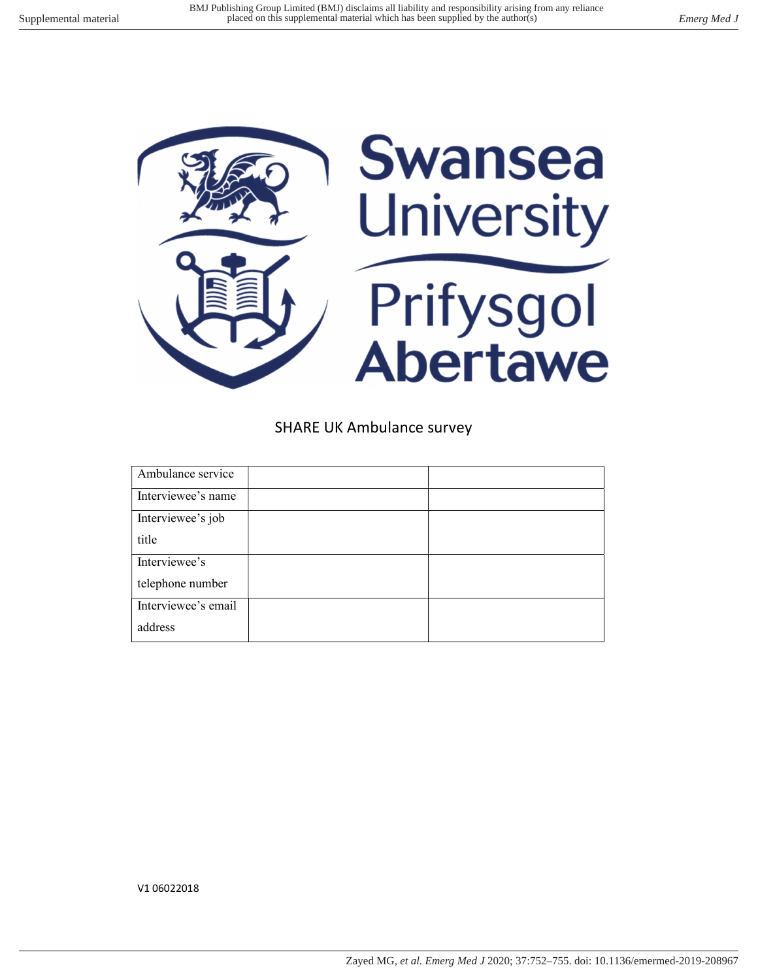

SHARE UK Ambulance survey

| Ambulance service   |  |
|---------------------|--|
| Interviewee's name  |  |
| Interviewee's job   |  |
| title               |  |
| Interviewee's       |  |
| telephone number    |  |
| Interviewee's email |  |
| address             |  |

V1 06022018